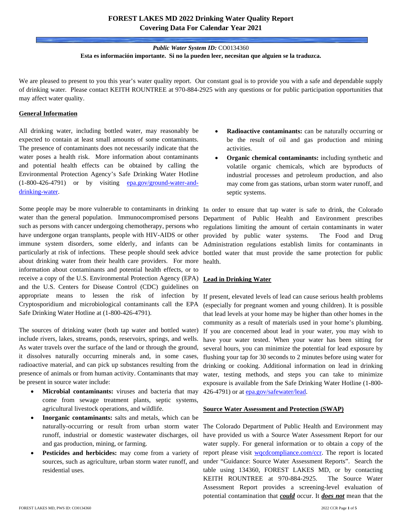## **FOREST LAKES MD 2022 Drinking Water Quality Report Covering Data For Calendar Year 2021**

### *Public Water System ID:* CO0134360 **Esta es información importante. Si no la pueden leer, necesitan que alguien se la traduzca.**

We are pleased to present to you this year's water quality report. Our constant goal is to provide you with a safe and dependable supply of drinking water. Please contact KEITH ROUNTREE at 970-884-2925 with any questions or for public participation opportunities that may affect water quality.

#### **General Information**

All drinking water, including bottled water, may reasonably be expected to contain at least small amounts of some contaminants. The presence of contaminants does not necessarily indicate that the water poses a health risk. More information about contaminants and potential health effects can be obtained by calling the Environmental Protection Agency's Safe Drinking Water Hotline (1-800-426-4791) or by visiting [epa.gov/ground-water-and](https://www.epa.gov/ground-water-and-drinking-water)[drinking-water.](https://www.epa.gov/ground-water-and-drinking-water)

Some people may be more vulnerable to contaminants in drinking In order to ensure that tap water is safe to drink, the Colorado water than the general population. Immunocompromised persons such as persons with cancer undergoing chemotherapy, persons who have undergone organ transplants, people with HIV-AIDS or other immune system disorders, some elderly, and infants can be Administration regulations establish limits for contaminants in particularly at risk of infections. These people should seek advice bottled water that must provide the same protection for public about drinking water from their health care providers. For more health. information about contaminants and potential health effects, or to receive a copy of the U.S. Environmental Protection Agency (EPA) **Lead in Drinking Water** and the U.S. Centers for Disease Control (CDC) guidelines on appropriate means to lessen the risk of infection by If present, elevated levels of lead can cause serious health problems Cryptosporidium and microbiological contaminants call the EPA Safe Drinking Water Hotline at (1-800-426-4791).

The sources of drinking water (both tap water and bottled water) include rivers, lakes, streams, ponds, reservoirs, springs, and wells. As water travels over the surface of the land or through the ground, it dissolves naturally occurring minerals and, in some cases, radioactive material, and can pick up substances resulting from the presence of animals or from human activity. Contaminants that may be present in source water include:

- **Microbial contaminants:** viruses and bacteria that may come from sewage treatment plants, septic systems, agricultural livestock operations, and wildlife.
- **Inorganic contaminants:** salts and metals, which can be runoff, industrial or domestic wastewater discharges, oil and gas production, mining, or farming.
- sources, such as agriculture, urban storm water runoff, and residential uses.
- **Radioactive contaminants:** can be naturally occurring or be the result of oil and gas production and mining activities.
- **Organic chemical contaminants:** including synthetic and volatile organic chemicals, which are byproducts of industrial processes and petroleum production, and also may come from gas stations, urban storm water runoff, and septic systems.

Department of Public Health and Environment prescribes regulations limiting the amount of certain contaminants in water provided by public water systems. The Food and Drug

(especially for pregnant women and young children). It is possible that lead levels at your home may be higher than other homes in the community as a result of materials used in your home's plumbing. If you are concerned about lead in your water, you may wish to have your water tested. When your water has been sitting for several hours, you can minimize the potential for lead exposure by flushing your tap for 30 seconds to 2 minutes before using water for drinking or cooking. Additional information on lead in drinking water, testing methods, and steps you can take to minimize exposure is available from the Safe Drinking Water Hotline (1-800- 426-4791) or at **epa.gov/safewater/lead**.

#### **Source Water Assessment and Protection (SWAP)**

naturally-occurring or result from urban storm water The Colorado Department of Public Health and Environment may • Pesticides and herbicides: may come from a variety of report please visit [wqcdcompliance.com/ccr.](https://wqcdcompliance.com/ccr) The report is located have provided us with a Source Water Assessment Report for our water supply. For general information or to obtain a copy of the under "Guidance: Source Water Assessment Reports". Search the table using 134360, FOREST LAKES MD, or by contacting KEITH ROUNTREE at 970-884-2925. The Source Water Assessment Report provides a screening-level evaluation of potential contamination that *could* occur. It *does not* mean that the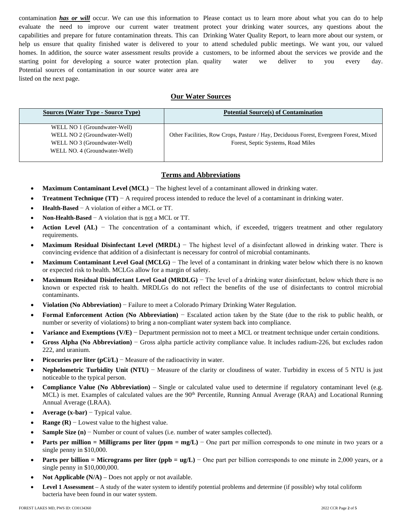contamination **has or will** occur. We can use this information to Please contact us to learn more about what you can do to help evaluate the need to improve our current water treatment protect your drinking water sources, any questions about the capabilities and prepare for future contamination threats. This can Drinking Water Quality Report, to learn more about our system, or help us ensure that quality finished water is delivered to your to attend scheduled public meetings. We want you, our valued homes. In addition, the source water assessment results provide a customers, to be informed about the services we provide and the starting point for developing a source water protection plan. quality Potential sources of contamination in our source water area are listed on the next page.

quality water we deliver to you every day.

#### **Our Water Sources**

| <b>Sources (Water Type - Source Type)</b> | <b>Potential Source(s) of Contamination</b>                                           |
|-------------------------------------------|---------------------------------------------------------------------------------------|
| WELL NO 1 (Groundwater-Well)              |                                                                                       |
| WELL NO 2 (Groundwater-Well)              | Other Facilities, Row Crops, Pasture / Hay, Deciduous Forest, Evergreen Forest, Mixed |
| WELL NO 3 (Groundwater-Well)              | Forest, Septic Systems, Road Miles                                                    |
| WELL NO. 4 (Groundwater-Well)             |                                                                                       |
|                                           |                                                                                       |

#### **Terms and Abbreviations**

- **Maximum Contaminant Level (MCL)** − The highest level of a contaminant allowed in drinking water.
- **Treatment Technique (TT)** − A required process intended to reduce the level of a contaminant in drinking water.
- **Health-Based** − A violation of either a MCL or TT.
- **Non-Health-Based** − A violation that is not a MCL or TT.
- **Action Level (AL)** − The concentration of a contaminant which, if exceeded, triggers treatment and other regulatory requirements.
- **Maximum Residual Disinfectant Level (MRDL)** − The highest level of a disinfectant allowed in drinking water. There is convincing evidence that addition of a disinfectant is necessary for control of microbial contaminants.
- **Maximum Contaminant Level Goal (MCLG)** − The level of a contaminant in drinking water below which there is no known or expected risk to health. MCLGs allow for a margin of safety.
- **Maximum Residual Disinfectant Level Goal (MRDLG)** − The level of a drinking water disinfectant, below which there is no known or expected risk to health. MRDLGs do not reflect the benefits of the use of disinfectants to control microbial contaminants.
- **Violation (No Abbreviation)** − Failure to meet a Colorado Primary Drinking Water Regulation.
- **Formal Enforcement Action (No Abbreviation)** − Escalated action taken by the State (due to the risk to public health, or number or severity of violations) to bring a non-compliant water system back into compliance.
- **Variance and Exemptions (V/E)** − Department permission not to meet a MCL or treatment technique under certain conditions.
- **Gross Alpha (No Abbreviation)** − Gross alpha particle activity compliance value. It includes radium-226, but excludes radon 222, and uranium.
- **Picocuries per liter (pCi/L)** − Measure of the radioactivity in water.
- **Nephelometric Turbidity Unit (NTU)** − Measure of the clarity or cloudiness of water. Turbidity in excess of 5 NTU is just noticeable to the typical person.
- **Compliance Value (No Abbreviation)** Single or calculated value used to determine if regulatory contaminant level (e.g. MCL) is met. Examples of calculated values are the 90<sup>th</sup> Percentile, Running Annual Average (RAA) and Locational Running Annual Average (LRAA).
- **Average (x-bar)** − Typical value.
- **Range (R)**  $-$  Lowest value to the highest value.
- **Sample Size (n)** − Number or count of values (i.e. number of water samples collected).
- **Parts per million = Milligrams per liter (ppm = mg/L)** − One part per million corresponds to one minute in two years or a single penny in \$10,000.
- **Parts per billion = Micrograms per liter (ppb = ug/L)** One part per billion corresponds to one minute in 2,000 years, or a single penny in \$10,000,000.
- Not Applicable (N/A) Does not apply or not available.
- **Level 1 Assessment** A study of the water system to identify potential problems and determine (if possible) why total coliform bacteria have been found in our water system.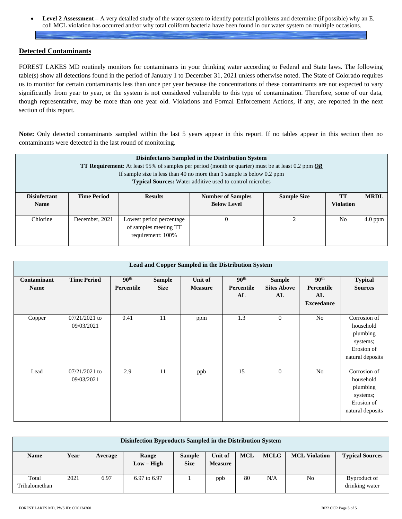• **Level 2 Assessment** – A very detailed study of the water system to identify potential problems and determine (if possible) why an E. coli MCL violation has occurred and/or why total coliform bacteria have been found in our water system on multiple occasions.

### **Detected Contaminants**

FOREST LAKES MD routinely monitors for contaminants in your drinking water according to Federal and State laws. The following table(s) show all detections found in the period of January 1 to December 31, 2021 unless otherwise noted. The State of Colorado requires us to monitor for certain contaminants less than once per year because the concentrations of these contaminants are not expected to vary significantly from year to year, or the system is not considered vulnerable to this type of contamination. Therefore, some of our data, though representative, may be more than one year old. Violations and Formal Enforcement Actions, if any, are reported in the next section of this report.

**Note:** Only detected contaminants sampled within the last 5 years appear in this report. If no tables appear in this section then no contaminants were detected in the last round of monitoring.

| Disinfectants Sampled in the Distribution System<br><b>TT Requirement:</b> At least 95% of samples per period (month or quarter) must be at least 0.2 ppm $OR$<br>If sample size is less than 40 no more than 1 sample is below $0.2$ ppm<br><b>Typical Sources:</b> Water additive used to control microbes |                    |                                                                                        |          |                |                  |           |  |  |  |
|--------------------------------------------------------------------------------------------------------------------------------------------------------------------------------------------------------------------------------------------------------------------------------------------------------------|--------------------|----------------------------------------------------------------------------------------|----------|----------------|------------------|-----------|--|--|--|
| <b>Disinfectant</b><br><b>Name</b>                                                                                                                                                                                                                                                                           | <b>Time Period</b> | <b>Sample Size</b><br><b>Number of Samples</b><br><b>Results</b><br><b>Below Level</b> |          |                |                  |           |  |  |  |
|                                                                                                                                                                                                                                                                                                              |                    |                                                                                        |          |                | <b>Violation</b> |           |  |  |  |
| Chlorine                                                                                                                                                                                                                                                                                                     | December, 2021     | Lowest period percentage<br>of samples meeting TT<br>requirement: 100%                 | $\theta$ | $\mathfrak{D}$ | N <sub>o</sub>   | $4.0$ ppm |  |  |  |

| Lead and Copper Sampled in the Distribution System |                               |                                |                              |                           |                                      |                                           |                                                           |                                                                                     |  |  |
|----------------------------------------------------|-------------------------------|--------------------------------|------------------------------|---------------------------|--------------------------------------|-------------------------------------------|-----------------------------------------------------------|-------------------------------------------------------------------------------------|--|--|
| Contaminant<br><b>Name</b>                         | <b>Time Period</b>            | 90 <sup>th</sup><br>Percentile | <b>Sample</b><br><b>Size</b> | Unit of<br><b>Measure</b> | 90 <sup>th</sup><br>Percentile<br>AL | <b>Sample</b><br><b>Sites Above</b><br>AL | 90 <sup>th</sup><br>Percentile<br>AL<br><b>Exceedance</b> | <b>Typical</b><br><b>Sources</b>                                                    |  |  |
| Copper                                             | $07/21/2021$ to<br>09/03/2021 | 0.41                           | 11                           | ppm                       | 1.3                                  | $\mathbf{0}$                              | N <sub>o</sub>                                            | Corrosion of<br>household<br>plumbing<br>systems;<br>Erosion of<br>natural deposits |  |  |
| Lead                                               | 07/21/2021 to<br>09/03/2021   | 2.9                            | 11                           | ppb                       | 15                                   | $\overline{0}$                            | No                                                        | Corrosion of<br>household<br>plumbing<br>systems;<br>Erosion of<br>natural deposits |  |  |

| Disinfection Byproducts Sampled in the Distribution System |      |         |                       |                              |                           |            |             |                      |                                |  |
|------------------------------------------------------------|------|---------|-----------------------|------------------------------|---------------------------|------------|-------------|----------------------|--------------------------------|--|
| <b>Name</b>                                                | Year | Average | Range<br>$Low - High$ | <b>Sample</b><br><b>Size</b> | Unit of<br><b>Measure</b> | <b>MCL</b> | <b>MCLG</b> | <b>MCL Violation</b> | <b>Typical Sources</b>         |  |
| Total<br>Trihalomethan                                     | 2021 | 6.97    | 6.97 to 6.97          |                              | ppb                       | 80         | N/A         | No                   | Byproduct of<br>drinking water |  |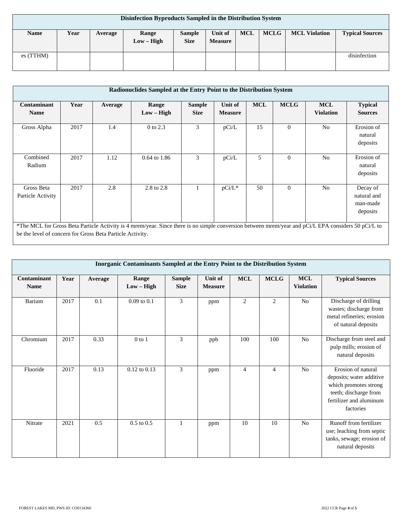| Disinfection Byproducts Sampled in the Distribution System |      |         |                       |                              |                           |            |             |                      |                        |  |
|------------------------------------------------------------|------|---------|-----------------------|------------------------------|---------------------------|------------|-------------|----------------------|------------------------|--|
| <b>Name</b>                                                | Year | Average | Range<br>$Low - High$ | <b>Sample</b><br><b>Size</b> | Unit of<br><b>Measure</b> | <b>MCL</b> | <b>MCLG</b> | <b>MCL Violation</b> | <b>Typical Sources</b> |  |
| es (TTHM)                                                  |      |         |                       |                              |                           |            |             |                      | disinfection           |  |

| Radionuclides Sampled at the Entry Point to the Distribution System                                                                                                                                              |      |         |                         |                              |                           |            |             |                                |                                                 |
|------------------------------------------------------------------------------------------------------------------------------------------------------------------------------------------------------------------|------|---------|-------------------------|------------------------------|---------------------------|------------|-------------|--------------------------------|-------------------------------------------------|
| Contaminant<br><b>Name</b>                                                                                                                                                                                       | Year | Average | Range<br>$Low - High$   | <b>Sample</b><br><b>Size</b> | Unit of<br><b>Measure</b> | <b>MCL</b> | <b>MCLG</b> | <b>MCL</b><br><b>Violation</b> | <b>Typical</b><br><b>Sources</b>                |
| Gross Alpha                                                                                                                                                                                                      | 2017 | 1.4     | 0 to 2.3                | 3                            | pCi/L                     | 15         | $\Omega$    | N <sub>0</sub>                 | Erosion of<br>natural<br>deposits               |
| Combined<br>Radium                                                                                                                                                                                               | 2017 | 1.12    | $0.64 \text{ to } 1.86$ | 3                            | pCi/L                     | 5          | $\Omega$    | N <sub>0</sub>                 | Erosion of<br>natural<br>deposits               |
| Gross Beta<br>Particle Activity                                                                                                                                                                                  | 2017 | 2.8     | 2.8 to 2.8              |                              | pCi/L*                    | 50         | $\Omega$    | N <sub>0</sub>                 | Decay of<br>natural and<br>man-made<br>deposits |
| *The MCL for Gross Beta Particle Activity is 4 mrem/year. Since there is no simple conversion between mrem/year and pCi/L EPA considers 50 pCi/L to<br>be the level of concern for Gross Beta Particle Activity. |      |         |                         |                              |                           |            |             |                                |                                                 |

| Inorganic Contaminants Sampled at the Entry Point to the Distribution System |      |         |                       |                              |                           |                |                |                                |                                                                                                                                          |  |  |
|------------------------------------------------------------------------------|------|---------|-----------------------|------------------------------|---------------------------|----------------|----------------|--------------------------------|------------------------------------------------------------------------------------------------------------------------------------------|--|--|
| Contaminant<br><b>Name</b>                                                   | Year | Average | Range<br>$Low - High$ | <b>Sample</b><br><b>Size</b> | Unit of<br><b>Measure</b> | <b>MCL</b>     | <b>MCLG</b>    | <b>MCL</b><br><b>Violation</b> | <b>Typical Sources</b>                                                                                                                   |  |  |
| Barium                                                                       | 2017 | 0.1     | $0.09$ to $0.1$       | 3                            | ppm                       | $\overline{c}$ | $\overline{2}$ | N <sub>o</sub>                 | Discharge of drilling<br>wastes; discharge from<br>metal refineries; erosion<br>of natural deposits                                      |  |  |
| Chromium                                                                     | 2017 | 0.33    | $0$ to $1$            | 3                            | ppb                       | 100            | 100            | No                             | Discharge from steel and<br>pulp mills; erosion of<br>natural deposits                                                                   |  |  |
| Fluoride                                                                     | 2017 | 0.13    | $0.12$ to $0.13$      | 3                            | ppm                       | $\overline{4}$ | $\overline{4}$ | No                             | Erosion of natural<br>deposits; water additive<br>which promotes strong<br>teeth; discharge from<br>fertilizer and aluminum<br>factories |  |  |
| Nitrate                                                                      | 2021 | 0.5     | $0.5$ to $0.5$        | $\mathbf{1}$                 | ppm                       | 10             | 10             | No                             | Runoff from fertilizer<br>use; leaching from septic<br>tanks, sewage; erosion of<br>natural deposits                                     |  |  |